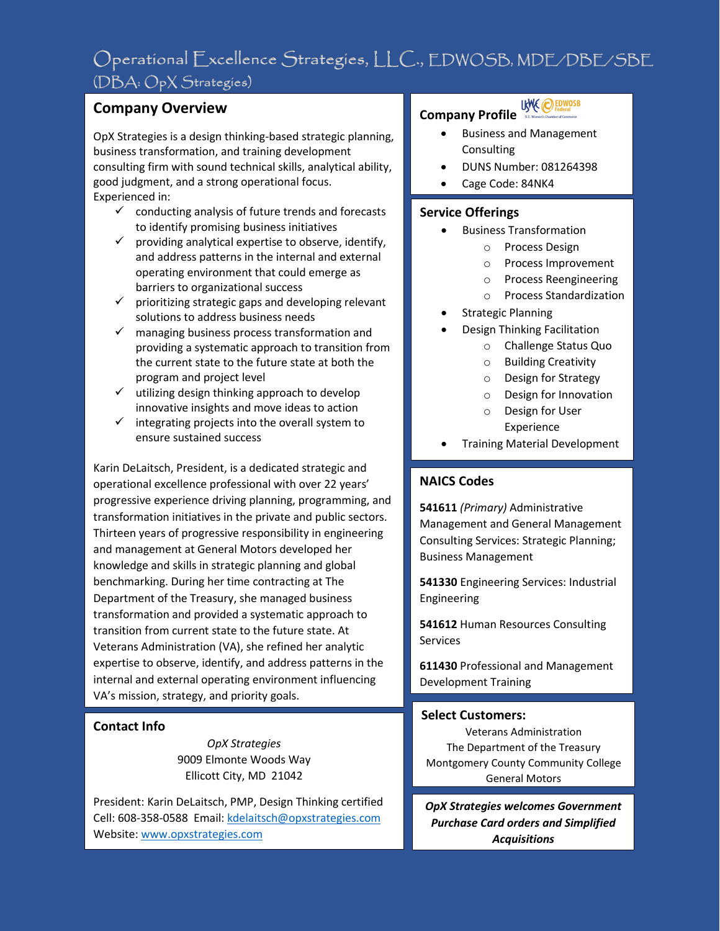# Operational Excellence Strategies, LLC., EDWOSB, MDE/DBE/SBE (DBA: OpX Strategies)

# **Company Overview**

OpX Strategies is a design thinking-based strategic planning, business transformation, and training development consulting firm with sound technical skills, analytical ability, good judgment, and a strong operational focus. Experienced in:

- $\checkmark$  conducting analysis of future trends and forecasts to identify promising business initiatives
- $\checkmark$  providing analytical expertise to observe, identify, and address patterns in the internal and external operating environment that could emerge as barriers to organizational success
- $\checkmark$  prioritizing strategic gaps and developing relevant solutions to address business needs
- $\checkmark$  managing business process transformation and providing a systematic approach to transition from the current state to the future state at both the program and project level
- $\checkmark$  utilizing design thinking approach to develop innovative insights and move ideas to action
- $\checkmark$  integrating projects into the overall system to ensure sustained success

Karin DeLaitsch, President, is a dedicated strategic and operational excellence professional with over 22 years' progressive experience driving planning, programming, and transformation initiatives in the private and public sectors. Thirteen years of progressive responsibility in engineering and management at General Motors developed her knowledge and skills in strategic planning and global benchmarking. During her time contracting at The Department of the Treasury, she managed business transformation and provided a systematic approach to transition from current state to the future state. At Veterans Administration (VA), she refined her analytic expertise to observe, identify, and address patterns in the internal and external operating environment influencing VA's mission, strategy, and priority goals.

# **Contact Info**

*OpX Strategies* 9009 Elmonte Woods Way Ellicott City, MD 21042

President: Karin DeLaitsch, PMP, Design Thinking certified Cell: 608-358-0588 Email: [kdelaitsch@opxstrategies.com](mailto:kdelaitsch@opxstrategies.com) Website: [www.opxstrategies.com](http://www.opxstrategies.com/)

#### USWE PEDWOSB **Company Profile**

- Business and Management **Consulting**
- DUNS Number: 081264398
- Cage Code: 84NK4

### **Service Offerings**

- Business Transformation
	- o Process Design
	- o Process Improvement
	- o Process Reengineering
	- o Process Standardization
- Strategic Planning
- Design Thinking Facilitation
	- o Challenge Status Quo
	- o Building Creativity
	- o Design for Strategy
	- o Design for Innovation
	- o Design for User Experience
- Training Material Development

# **NAICS Codes**

**541611** *(Primary)* Administrative Management and General Management Consulting Services: Strategic Planning; Business Management

**541330** Engineering Services: Industrial Engineering

**541612** Human Resources Consulting **Services** 

**611430** Professional and Management Development Training

### **Select Customers:**

Veterans Administration The Department of the Treasury Montgomery County Community College General Motors

*OpX Strategies welcomes Government Purchase Card orders and Simplified Acquisitions*